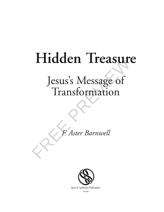# **Hidden Treasure**

# Hidden Treasure<br>Jesus's Message of<br>Transformation<br>E. Aster Barnwell Jesus's Message of Transformation

*F. Aster Barnwell*



Spirit of Synthesis Publications Toronto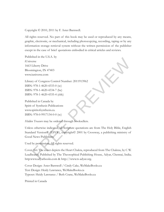Copyright © 2010, 2011 by F. Aster Barnwell.

All rights reserved. No part of this book may be used or reproduced by any means, graphic, electronic, or mechanical, including photocopying, recording, taping or by any information storage retrieval system without the written permission of the publisher except in the case of brief quotations embodied in critical articles and reviews.

Published in the U.S.A. by iUniverse 1663 Liberty Drive Bloomington, IN 47403 www.iuniverse.com

Library of Congress Control Number: 2011913962 ISBN: 978-1-4620-4333-0 (sc) ISBN: 978-1-4620-4334-7 (he) ISBN: 978-1-4620-4335-4 (ebk)

Published in Canada by Spirit of Synthesis Publications www.spiritofsynthesis.ca. ISBN: 978-0-9917134-0-0 (sc)

*Hidden Treasure* may be ordered through booksellers.

manoi stonger etenneval system windou the winter permission of the pumsiner<br>pt in the case of brief quotations embodied in critical articles and reviews<br>series is and the U.S.A. by<br>similative second standard in critical ar Unless otherwise indicated, all Scripture quotations are from The Holy Bible, English Standard Version® (ESV®), copyright© 2001 by Crossway, a publishing ministry of Good News Publishers.

Used by permission. All rights reserved.

Cover Art: The cover depicts the Heart Chakra, reproduced from The Chakras, by C W. Leadbeater; Published by The Theosophical Publishing House, Adyar, Chennai, India; http:www.adyarbooks.com & http://www.ts-adyar.org.

Cover Design: Aster Barnwell / Cindy Cake, WeMakeBooks.ca Text Design: Heidy Lawrance, WeMakeBooks.ca Typeset: Heidy Lawrance / Beth Crane, WeMakeBooks.ca

Printed in Canada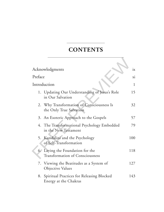# **CONTENTS**

| <b>CONTENTS</b>                                                            |                 |
|----------------------------------------------------------------------------|-----------------|
|                                                                            |                 |
| Acknowledgments                                                            | ix              |
| Preface                                                                    | $\overline{X1}$ |
| Introduction                                                               | 1               |
| 1. Updating Our Understanding of Jesus's Role<br>in Our Salvation          | 15              |
| 2. Why Transformation of Consciousness Is<br>the Only True Salvation       | 32              |
| An Esoteric Approach to the Gospels<br>3.                                  | 57              |
| 4. The Transformational Psychology Embedded<br>in the New Testament        | 79              |
| 5. Kundalini and the Psychology<br>of Self-Transformation                  | 100             |
| 6. Laying the Foundation for the<br><b>Transformation of Consciousness</b> | 118             |
| Viewing the Beatitudes as a System of<br>7.<br>Objective Values            | 127             |
| Spiritual Practices for Releasing Blocked<br>8.<br>Energy at the Chakras   | 143             |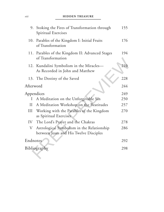#### *viii* **HIDDEN TREASURE**

| 9.         | Stoking the Fires of Transformation through<br>Spiritual Exercises                   | 155 |
|------------|--------------------------------------------------------------------------------------|-----|
| 10.        | Parables of the Kingdom I: Initial Fruits<br>of Transformation                       | 176 |
| 11.        | Parables of the Kingdom II: Advanced Stages<br>of Transformation                     | 194 |
|            | 12. Kundalini Symbolism in the Miracles-<br>As Recorded in John and Matthew          | 210 |
|            | 13. The Destiny of the Saved                                                         | 228 |
| Afterword  |                                                                                      | 244 |
| Appendices |                                                                                      | 249 |
| $\bf{l}$   | A Meditation on the Unforgivable Sin                                                 | 250 |
| $\prod$    | A Meditation Workshop on the Beatitudes                                              | 257 |
| Ш          | Working with the Parables of the Kingdom<br>as Spiritual Exercises                   | 270 |
| IV         | The Lord's Prayer and the Chakras                                                    | 278 |
| V          | Astrological Symbolism in the Relationship<br>between Jesus and His Twelve Disciples | 286 |
| Endnotes   |                                                                                      | 292 |
|            | Bibliography                                                                         | 298 |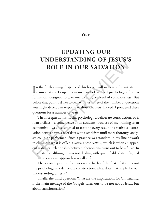#### **ONE**

# **UPDATING OUR UNDERSTANDING OF JESUS'S ROLE IN OUR SALVATION**

In the forthcoming chapters of this book I will work to substantiate the Cospels contain a well-developed psychology of transn the forthcoming chapters of this book I will work to substantiate the formation, designed to take one to a higher level of consciousness. But before that point, I'd like to deal with just three of the number of questions you might develop in response to those chapters. Indeed, I pondered these questions for a number of years.

**UPDATING OUR**<br> **UNDERSTANDING OF JESUS'S**<br> **ROLE IN OUR SALVATION**<br> **I** the forthcoming chapters of this book I will work to substantiate the<br>
Iclaim that the Gospels contain a well-developed psychology of trans-<br>
format The first question is: Is this psychology a deliberate construction, or is it an artifact—a coincidence or an accident? Because of my training as an economist, I was accustomed to treating every result of a statistical correlation between two sets of data with skepticism until more thorough analyses could be performed. Such a practice was standard in my line of work to eliminate what is called a *spurious correlation,* which is when an apparent statistical relationship between phenomena turns out to be a fluke. In this instance, although I was not dealing with quantifiable data, I figured the same cautious approach was called for.

The second question follows on the heels of the first: If it turns out the psychology is a deliberate construction, what does that imply for our understanding of Jesus?

Finally, the third question: What are the implications for Christianity, if the main message of the Gospels turns out to be not about Jesus, but about transformation?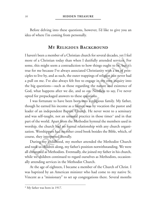Before delving into these questions, however, I'd like to give you an idea of where I'm coming from personally.

## **MY RELIGIOUS BACKGROUND**

**MY RELIGIOUS BACKGROUND**<br>ven't been a member of a Christian church for several decades, yet I feel<br>ce of a Christian today than when I dutifully attended services. For<br>e, this might seem a contradiction to how things ough I haven't been a member of a Christian church for several decades, yet I feel more of a Christian today than when I dutifully attended services. For some, this might seem a contradiction to how things ought to be, but it's true for me because I've always associated Christianity with a set of principles to live by, and as such, the outer trappings of religion just never had a pull on me. I've also always felt free to engage in my own inquiry into the big questions—such as those regarding the nature and existence of God, what happens after we die, and so on. Needless to say, I've never opted for prepackaged answers to these questions.

I was fortunate to have been born into a religious family. My father, though he earned his income as a farmer, was by vocation the pastor and leader of an independent Baptist Church. He never went to a seminary and was self-taught, not an unusual practice in those times\* and in that part of the world. Apart from the Methodist hymnal the members used in worship, the church had no formal relationship with any church organization. Worshippers had no other creed book besides the Bible, which, of course, they interpreted literally.

During my childhood, my mother attended the Methodist Church and took us children along, my father's position notwithstanding. We were all christened as Methodists. Eventually, she joined my father in his church, while we children continued to regard ourselves as Methodists, occasionally attending services in the Methodist Church.

At the age of eighteen, I became a member of the Church of Christ. I was baptized by an American minister who had come to my native St. Vincent as a "missionary" to set up congregations there. Several months

<sup>\*</sup> My father was born in 1917.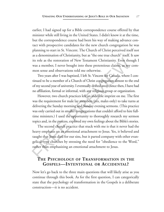earlier, I had signed up for a Bible correspondence course offered by that minister while still living in the United States. I didn't know it at the time, but the correspondence course had been his way of making advance contact with prospective candidates for the new church congregation he was planning to start in St. Vincent. The Church of Christ perceived itself not as a denomination of Christianity, but as "the one true church" itself. It saw its role as the restoration of New Testament Christianity. Even though I was a member, I never bought into these pretentious claims, as my common sense and observations told me otherwise.

Two years after I was baptized, I left St. Vincent for Canada, where I continued to be a member of a Church of Christ congregation almost to the end of my second year of university. I eventually drifted away. Since then, I have had no affiliation, formal or informal, with any religious group or organization.

and wind protective analysis. The the way dialty the way that we were the mail of state in St. Vincent. The Church of Christ preceived itself not<br>as a denomination of Christianity, but as "the one true church" itself. It s However, two church practices left an indelible imprint on me. The first was the requirement for male lay members (yes, males only) to take turns at delivering the Sunday morning and Sunday evening sermons. (This practice was only carried out in smaller congregations that couldn't afford to hire fulltime ministers.) I used the opportunity to thoroughly research my sermon topics and, in the process, explored my own feelings about the Bible's stories.

The second church practice that stuck with me is that it never had the heavy emphasis on an emotional attachment to Jesus. Yes, it believed and taught that Jesus died for our sins, but it parted company with other evangelical-type churches by stressing the need for "obedience to the Word," rather than emphasizing an emotional attachment to Jesus.

# **THE PSYCHOLOGY OF TRANSFORMATION IN THE GOSPELS—INTENTIONAL OR ACCIDENTAL?**

Now let's go back to the three main questions that will likely arise as you continue through this book. As for the first question, I can categorically state that the psychology of transformation in the Gospels is a deliberate construction—it is no accident.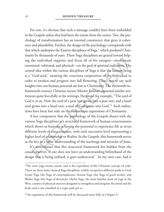and passisming, i units, un cusqui or has passiming, which underpins the Eastern disciplines of Yoga,<sup>\*</sup> which predated Christiy by thousands of years. These Yoga disciplines are geared toward help-<br>the individual organize For one, it's obvious that such a message couldn't have been embedded in the Gospels unless that had been the intent from the outset. Two, the psychology of transformation has an internal consistency that gives it coherence and plausibility. Further, the design of the psychology corresponds with that which underpins the Eastern disciplines of Yoga,\* which predated Christianity by thousands of years. These Yoga disciplines are geared toward helping the individual organize and focus all of his energies—intellectual, emotional, volitional, and physical—on the goal of spiritual realization. The central idea within the various disciplines of Yoga is that the human being is a "God-seed," awaiting the conscious cooperation of the individual in order to awaken and progress into full flowering. That's not to say such insights into our human potential are lost to Christianity. The thirteenth-tofourteenth-century Christian mystic Meister Eckhart expressed similar sentiments quite forcefully in his writings. He wrote, for example, "The seed of God is in us. Now the seed of a pear tree grows into a pear tree; and a hazel seed grows into a hazel tree; a seed of God grows into God."**<sup>1</sup>** Such realizations have been lost only on the mainstream expressions of Christianity.

A key component that the psychology of the Gospels shares with the various Yoga disciplines is a structural framework of human consciousness which shows us humans as having the potential to experience life at seven different levels of consciousness, with each successive level representing a higher level of relationship to Reality. In the Gospels, this framework serves as the key to a fuller understanding of the teachings and miracles of Jesus.

It's unfortunate that this structural framework lies hidden from the casual observer. If one does not have an understanding beforehand of the design that is being utilized, it goes undetected.<sup>\*\*</sup> In my own case, had it

<sup>\*</sup>The term yoga means union, and is the equivalent of the Christian concept of yoke. There are three main classical Yoga disciplines, widely accepted as different paths to God: Gyani Yoga (the Yoga of contemplation), Karma Yoga (the Yoga of good works), and Bhakti Yoga (the Yoga of devotion). Hatha Yoga, the most familiar form of yoga in the West, consists of physical exercises designed to strengthen and integrate the mind and the body, and is not classified as a yogic path per se.

<sup>\*\*</sup>An exposition of this framework will be discussed more fully in Chapter 5.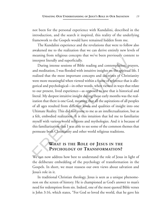not been for the personal experience with Kundalini, described in the introduction, and the search it inspired, this reality of the underlying framework to the Gospels would have remained hidden from me.

The Kundalini experience and the revelations that were to follow also awakened me to the realization that we can derive entirely new levels of meaning from religious concepts that we've been previously content to interpret literally and superficially.

The Kundial value of the tectamon date we concluse the conduct and the conducted me to the realization that we can derive entriey new levels of meaning from religious concepts that we've been previously content to interpre During intense sessions of Bible reading and contemplation, prayers, and meditation, I was flooded with intuitive insights on the spiritual life. I realized that the most important concepts and doctrines of Christianity were more meaningful when viewed within a frame of reference that is allegorical and psychological—in other words, when viewed in ways that relate to our present, lived experience—as opposed to one that is historical and literal. My deepest intuitive insight during those early months was the realization that there is one God, meaning that all the aspirations of all peoples of all ages resulted from different levels and qualities of insight into one Ultimate Reality. This did not come to me as an intellectualization, but as a felt, embodied realization. It is this intuition that led me to familiarize myself with various world religions and mythologies. And it is because of this familiarization that I was able to see some of the common themes that permeate both Christianity and other world religious traditions.

# **WHAT IS THE ROLE OF JESUS IN THE PSYCHOLOGY OF TRANSFORMATION?**

We can now address how best to understand the role of Jesus in light of the deliberate embedding of the psychology of transformation in the Gospels. In short, we must reassess our own views about salvation and Jesus's role in it.

In traditional Christian theology, Jesus is seen as a unique phenomenon on the screen of history. He is championed as God's answer to man's need for redemption from sin. Indeed, one of the most quoted Bible verses is John 3:16, which states, "For God so loved the world, that he gave his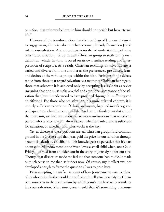only Son, that whoever believes in him should not perish but have eternal life."

ugage nt us, cantastan coentine inas occione primary roccaet on jests.<br>
in our salvation. And since there is no shared understanding of what<br>
stitutes salvation, it's up to each Christian group to settle on its own<br>
mition Unaware of the transformation that the teachings of Jesus are designed to engage in us, Christian doctrine has become primarily focused on Jesus's role in our salvation. And since there is no shared understanding of what constitutes salvation, it's up to each Christian group to settle on its own definition, which, in turn, is based on its own surface reading and interpretation of scripture. As a result, Christian teachings on salvation are as varied and diverse from one another as the preferences, prejudices, fears, and desires of the various groups within the faith. Positions in the debate range from those that regard salvation as a matter of Christian heritage to those that advocate it is achieved only by accepting Jesus Christ as savior (meaning that one must make a verbal and emotional acceptance of the salvation that Jesus is understood to have provided through his suffering and crucifixion). For those who see salvation in a more cultural context, it is entirely sufficient to be born of Christian parents, baptized in infancy, and perhaps attend church once in awhile. And on the fundamentalist end of the spectrum, we find even more polarization on issues such as whether a person who is once saved is always saved, whether faith alone is sufficient for salvation, or whether faith plus works is the key.

Yet, as diverse as these positions are, all Christian groups find common ground in the Gospel story that Jesus paid the price for our salvation through a sacrificial death by crucifixion. This knowledge is so pervasive that it's part of our cultural endowment in the West. I was a small child when, one Good Friday, I learned from an older cousin the story of Jesus dying for our sins. Though that disclosure made me feel sad that someone had to die, it made as much sense to me then as it does now. Of course, my intellect was not developed enough to frame the questions I was to pose later.

Even accepting the surface account of how Jesus came to save us, those of us who probe further could never find an intellectually satisfying Christian answer as to the mechanism by which Jesus's death actually translates into our salvation. Most times, one is told that it's something one must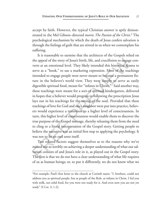accept by faith. However, the typical Christian answer is aptly demonstrated in the Mel Gibson–directed movie *The Passion of the Christ*. **<sup>2</sup>** The psychological mechanism by which the death of Jesus confers salvation is through the feelings of guilt that are stirred in us when we contemplate his suffering.

suffering.<br>
It is reasonable to surmise that the architects of the Gospels relied on<br>
the appeal of the story of Jesus's birth, life, and crucifixion to engage con-<br>
vers at an emotional level. They likely intended this hi It is reasonable to surmise that the architects of the Gospels relied on the appeal of the story of Jesus's birth, life, and crucifixion to engage converts at an emotional level. They likely intended this historical drama to serve as a "hook," to use a marketing expression. Most of the teachings intended to engage people were never meant to become a permanent fixture in the believer's world view. They were simply to serve as easily digestible spiritual food, meant for "infants in Christ."\* Said another way, these teachings were meant for a sort-of spiritual kindergarten, delivered in hopes that a believer would progress to following the prescription Jesus lays out in his teachings for the saving of the soul. Provided that these teachings of love for God and one's neighbor were put into practice, believers would experience a transition to a higher level of consciousness. In turn, this higher level of consciousness would enable them to discover the true purpose of the Gospel message, thereby releasing them from the need to cling to a literal interpretation of the Gospel story. Getting people to believe the narrative was an initial first step to applying the psychology. It was not to be an end unto itself.

Two related factors suggest themselves as to the reasons why we've missed out so terribly on achieving a deeper understanding of what our salvation consists of and Jesus's role in it, as played out in the Gospel story. The first is that we do not have a clear understanding of what life requires of us as human beings; or, to put it differently, we do not know what we

<sup>\*</sup>For example, Paul's first letter to the church at Corinth states: "I, brothers, could not address you as spiritual people, but as people of the flesh, as infants in Christ. I fed you with milk, not solid food, for you were not ready for it. And even now you are not yet ready" (I Cor. 3: 1-2).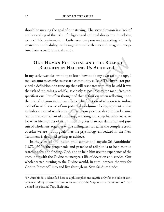should be making the goal of our striving. The second reason is a lack of understanding of the roles of religion and spiritual disciplines in helping us meet this requirement. In both cases, our poor understanding is directly related to our inability to distinguish mythic themes and images in scripture from actual historical events.

# **OUR HUMAN POTENTIAL AND THE ROLE OF RELIGION IN HELPING US ACHIEVE IT**

From actual historical events.<br> **OUR HUMAN POTENTIAL AND THE ROLE OF**<br> **RELIGION IN HELPING US ACHIEVE IT**<br>
my early twenties, wanting to learn how to do my own car tune-ups, I<br>
as an auto mechanic course at a community co In my early twenties, wanting to learn how to do my own car tune-ups, I took an auto mechanic course at a community college. The instructor provided a definition of a tune-up that still resonates with me; he said it was the task of returning a vehicle, as closely as possible, to the manufacturer's specifications. I've often thought of that definition when reflecting upon the role of religion in human affairs. The function of religion is to imbue each of us with a sense of our potential as a human being, a potential that includes a state of wholeness. Our religious practice should then become our human equivalent of a tune-up, restoring us to psychic wholeness. As for what life requires of us, it is nothing less than our desire for and pursuit of wholeness, together with a willingness to realize the complete truth of *what* we are—both goals that the psychology embedded in the New Testament is designed to help us achieve.

In the view of the Indian philosopher and mystic Sri Aurobindo\* (1872-1950), the proper role and practice of religion is to help man in searching for, and finding, God, and to help him use the experience of the encounter with the Divine to energize a life of devotion and service. Our wholehearted turning to the Divine would, in turn, prepare the way for God to "descend" into and live through us. Says Sri Aurobindo:

<sup>\*</sup>Sri Aurobindo is identified here as a philosopher and mystic only for the sake of convenience. Many recognized him as an Avatar of the "supramental manifestation" that defined his personal Yoga discipline.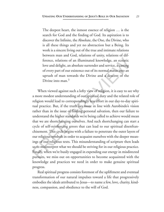The deepest heart, the inmost essence of religion … is the search for God and the finding of God. Its aspiration is to discover the Infinite, the Absolute, the One, the Divine, who is all these things and yet no abstraction but a Being. Its work is a sincere living out of the true and intimate relations between man and God, relations of unity, relations of difference, relations of an illuminated knowledge, an ecstatic love and delight, an absolute surrender and service, a casting of every part of our existence out of its normal status into an uprush of man towards the Divine and a descent of the Divine into man.**<sup>3</sup>**

is an intest uning start of the distance and intimate relations<br>work is a sincere living out of the true and intimate relations<br>between man and God, relations of unity, relations of dif-<br>ference, relations of an illuminate When viewed against such a lofty view of religion, it is easy to see why a more modest understanding of our spiritual duty and the related role of religion would lead to correspondingly less effort in our day-to-day spiritual practice. But, if the truth lies more in line with Aurobindo's vision rather than in the issue of finding personal salvation, then our failure to understand the higher standards we're being called to achieve would mean that we are shortchanging ourselves. And such shortchanging can start a cycle of self-reinforcing errors that can lead to our spiritual disenfranchisement. This cycle begins with a failure to penetrate the outer layers of our religious symbols in order to acquaint ourselves with the deeper meanings of our religious texts. This misunderstanding of scripture then leads us to misinterpret what we should be striving for in our religious practice. Finally, when we're busily engaged in expending our energy in misdirected pursuits, we miss out on opportunities to become acquainted with the knowledge and practices we need in order to make genuine spiritual progress.

Real spiritual progress consists foremost of the upliftment and eventual transformation of our natural impulses toward a life that progressively embodies the ideals attributed to Jesus—to name a few, love, charity, kindness, compassion, and obedience to the will of God.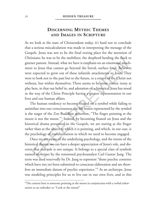# **DISCERNING MYTHIC THEMES AND IMAGES IN SCRIPTURE**

a carrious miscalculation was made in interpreting the message of the<br>pepls. Jesus was not to be the final resting place for the attention of<br>intinals; he was to be the mobilizer, the shepherd herding the flock to<br>entrepar As we look at the state of Christendom today, it's hard not to conclude that a serious miscalculation was made in interpreting the message of the Gospels. Jesus was not to be the final resting place for the attention of Christians; he was to be the mobilizer, the shepherd herding the flock to greener pasture. Instead, what we have is emphasis on an emotional attachment to Jesus that cannot go beyond the literal, surface level. Believers were expected to grow out of these infantile attachments to Jesus. They were to look not to the past but to the future, to a return of the Christ not without, but within themselves. There seems to be some cosmic irony at play here, in that our belief in, and adoration of, a historical Jesus has stood in the way of the Christ Principle having a greater representation in our lives and our human affairs.

The human tendency to become fixated on a symbol while failing to assimilate into our consciousness the life lesson represented by the symbol is the target of the Zen Buddhist aphorism, "The finger pointing at the moon is not the moon."\* Indeed, by becoming fixated on Jesus and the historical drama presented in the Gospels, we are staring at the finger rather than at the object to which it is pointing, and which, in our case, is the psychology of transformation in which we need to become engaged.

Once we are aware of the underlying psychology, and the intent of the historical drama, we can have a deeper appreciation of Jesus's role, and discover that this role is not unique. It belongs to a special class of symbols named *archetypes* by the renowned psychoanalyst Carl Gustav Jung. The term was used reservedly by Dr. Jung to represent "those psychic contents which have not yet been submitted to conscious elaboration and are therefore an immediate datum of psychic experience."**<sup>4</sup>** As an archetype, Jesus was modeling principles for us to live out in our own lives, and in this

<sup>\*</sup>The context here is someone pointing at the moon in conjunction with a verbal exhortation to an onlooker to "Look at the moon!"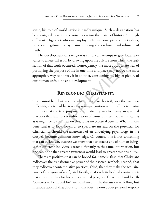sense, his role of world savior is hardly unique. Such a designation has been assigned to various personalities across the march of history. Although different religious traditions employ different concepts and metaphors, none can legitimately lay claim to being the exclusive embodiment of truth.

The development of a religion is simply an attempt to give local relevance to an eternal truth by drawing upon the culture from which the realization of that truth occurred. Consequently, the most appropriate way of portraying the purpose of life in one time and place may not be the most appropriate way to portray it in another, considering the bigger picture of our human unfolding and development.

# **REVISIONING CHRISTIANITY**

Find the calculated parameters are parameters and the complete calculate term can be calculate to an eternal ruth by drawing upon the culture from which the realization of that truth occurred. Consequently, the most approp One cannot help but wonder what might have been if, over the past two millennia, there had been widespread recognition within Christian communities that the true purpose of Christianity was to engage in spiritual practices that lead to a transformation of consciousness. But as intriguing as it might be to speculate on this, it has no practical benefit. What is more beneficial is to look forward, to speculate instead on the potential for Christianity should the awareness of an underlying psychology in the Gospels become common knowledge. Of course, this is not something that can be known, because we know that a characteristic of human beings is that different individuals react differently to the same information, but one can hope that greater awareness would lead to greater responsibility.

There are positives that can be hoped for, namely: first, that Christians rediscover the transformative power of their sacred symbols; second, that they rediscover contemplative practices; third, that they make the acquaintance of the *spirit of truth*; and fourth, that each individual assumes primary responsibility for his or her spiritual progress. These third and fourth "positives to be hoped for" are combined in the discussion to follow, but in anticipation of that discussion, this fourth point about personal respon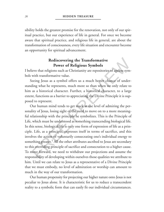sibility holds the greatest promise for the renovation, not only of our spiritual practice, but our experience of life in general. For once we become aware that spiritual practice, and religious life in general, are about the transformation of consciousness, every life situation and encounter become an opportunity for spiritual advancement.

# **Rediscovering the Transformative Power of Religious Symbols**

I believe that religions such as Christianity are repositories of ageless symbols with transformative value.

Seeing Jesus as a symbol offers us a much better chance of understanding what he represents, much more so than when we only relate to him as a historical character. Further, a historical character, to a large extent, functions as a barrier to appreciating the Divine Principle it is supposed to represent.

Solution of constdomals, every the statation and choculated occurs<br> **Rediscovering the Transformative**<br> **Power of Religious Symbols**<br>
lieve that religions such as Christianity are repositories of ageless sym-<br>
with transfo Our human mind tends to get stuck at the level of admiring the personality of Jesus, losing sight of the need to move on to a more meaningful relationship with the principle he symbolizes. This is the Principle of Life, which must be understood as something transcending biological life. In this sense, biological life is only one form of expression of life as a principle. Life, as a principle, expresses itself in terms of sacrifice, and this involves the action of voluntarily consecrating one's individual energy to something greater.**<sup>5</sup>** All the other attributes ascribed to Jesus are secondary to this overriding principle of sacrifice and consecration to a higher cause. To move forward, we need to withdraw our projections and assume the responsibility of developing within ourselves those qualities we attribute to him. Until we can relate to Jesus as a representative of a Divine Principle that we must embody, no level of admiration or worship can amount to much in the way of our transformation.

Our human propensity for projecting our higher nature onto Jesus is not peculiar to Jesus alone. It is characteristic for us to reduce a transcendent reality to a symbolic form that can easily fit our individual circumstances.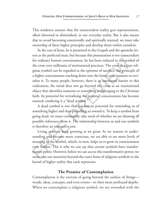This tendency ensures that the transcendent reality gets representation, albeit distorted or diminished, in our everyday reality. But it also means that to avoid becoming emotionally and spiritually stunted, we must take ownership of these higher principles and develop them within ourselves.

by the main otherwise and activity and the Gospels and the apostolic let-<br>
In the case of Jesus, he is presented in the Gospels and the apostolic let-<br>
ters as the perfected man, but because this presentation is too transc In the case of Jesus, he is presented in the Gospels and the apostolic letters as the perfected man, but because this presentation is too transcendent for ordinary human consciousness, he has been reduced to the symbol of the cross over millennia of institutional practices. The cross as a true religious symbol can be regarded as the epitome of sacrifice, the principle of a higher consciousness reaching down into the lower consciousness to revitalize it. To many people, however, there is an emotional barrier to this realization; the mind does not go beyond the cross as an institutional object that identifies someone or something as belonging to the Christian faith. Its potential for revitalizing the personal consciousness has become stunted, rendering it a "dead symbol."

A dead symbol is one that has lost its potential for reminding us of something higher and then propelling us toward it. To keep a symbol from going dead, we must continually take stock of whether we are drawing all possible inferences from it. The relationship between us and our symbols is therefore an interactive one.

Living symbols keep growing as we grow. As we mature in understanding and become more conscious, we are able to see more levels of meaning in the symbol, which, in turn, helps us to grow in consciousness even further. This is why we can say that certain symbols have transformative power. However, before we can access this transformative power, we must take our attention beyond the outer form of religious symbols to the kernel of higher reality that each represents.

### **The Promise of Contemplation**

Contemplation is the exercise of going beyond the surface of things words, ideas, concepts, and even events—to their more profound depths. When we contemplate a religious symbol, we are rewarded with the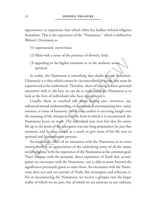opportunity to experience that which often lies hidden behind religious formalism. This is the experience of the "Numinous," which is defined in *Webster's Dictionary* as

- (1) supernatural, mysterious;
- (2) filled with a sense of the presence of divinity, holy;
- (3) appealing to the higher emotions or to the aesthetic sense: spiritual.

In reality, the Numinous is something that eludes precise definition. Ultimately it is that which cannot be circumscribed by words, but must be experienced to be understood. Therefore, short of having a direct personal encounter with it, the best we can do to understand the Numinous is to look at the lives of individuals who have experienced it.

(1) supernatural, mysterious;<br>
(2) filled with a sense of the presence of divinity, holy;<br>
(3) appealing to the higher emotions or to the aesthetic sense:<br>
spiritual.<br>
In reality, the Numinous is something that eludes prec Usually, those so touched talk about feeling awe, reverence, joy, enhanced mental understanding, or a sense of all-encompassing love, unity, oneness, or sense of harmony. Some even confess to receiving insight into the meaning of life. Irrespective of the form in which it is encountered, the Numinous leaves its mark. The individual may even feel that his entire life up to the point of the encounter was one long preparation for just that moment, and he may resolve as a result to give more of his life over to spiritual and humanitarian pursuits.

An immediate effect of an encounter with the Numinous at its more intense levels is an appreciation of the underlying unity of all the major world religions, with the experience of the Numinous as the common goal. That's because with the personal, direct experience of Truth that accompanies an encounter with the Numinous, one is able to move beyond the significance previously given to outer form. An encounter with the Numinous does not end our pursuit of Truth, but reenergizes and refocuses it. For in encountering the Numinous, we receive a glimpse into the larger reality of which we are part, but of which we are unaware in our ordinary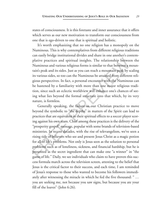states of consciousness. It is this foretaste and inner assurance that it offers which serves as our new motivation to transform our consciousness from one that is ego-driven to one that is spiritual and holistic.

Examinations. This is why contemplatives from different religious traditions<br>
Numinous. This is why contemplatives from different religious traditions<br>
can easily bridge institutional divides and share in one another's con It's worth emphasizing that no one religion has a monopoly on the Numinous. This is why contemplatives from different religious traditions can easily bridge institutional divides and share in one another's contemplative practices and spiritual insights. The relationship between the Numinous and various religious forms is similar to that between a mountain's peak and its sides. Just as you can reach a mountain peak by scaling its various sides, so too can the Numinous be attained from different religious perspectives. In fact, a personal encounter with the Numinous can be hastened by a familiarity with more than one major religious tradition, since such an eclectic worldview will enhance one's chances of seeing what lies beyond the formal structure into that which, by its very nature, is formless.

Generally speaking, the failure in our Christian practice to move beyond the symbolic to "the depths" in matters of the Spirit can lead to practices that are equivalent in their spiritual effects to a soccer player scoring against his own team. Chief among these practices is the delivery of the "prosperity gospel" message, popular with some brands of television-based ministries. In recent decades, with the rise of televangelism, we've seen a rising tide of believers who see and present Jesus Christ as a magic potion for all of life's problems. Not only is Jesus seen as the solution to personal problems such as of loneliness, sickness, and financial hardship, but he is presented as the secret ingredient that can make one "a winner" in "the game of life." Daily, we see individuals who claim to have proven this success formula march across the television screen, attesting to the belief that Jesus is the critical factor to their success, and each time, I am reminded of Jesus's response to those who wanted to become his followers immediately after witnessing the miracle in which he fed the five thousand: " … you are seeking me, not because you saw signs, but because you ate your fill of the loaves" (John 6:26).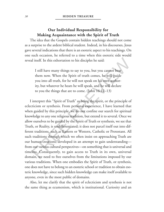# **Our Individual Responsibility for Making Acquaintance with the Spirit of Truth**

The idea that the Gospels contain hidden teachings should not come as a surprise to the ardent biblical student. Indeed, in his discourses, Jesus gave several indications that there is an esoteric aspect to his teachings. On one such occasion, he referred to a time when this esoteric side would reveal itself. In this exhortation to his disciples he said:

I still have many things to say to you, but you cannot bear them now. When the Spirit of truth comes, he will guide you into all truth, for he will not speak on his own authority, but whatever he hears he will speak, and he will declare to you the things that are to come. (John 16:12–13)

supprise to the attactivization in the state of the instances by several indications that there is an esoteric agreet to his teachings. On such occasion, he referred to a time when this estoric side would al itself. In thi I interpret this "Spirit of Truth" as being the spirit, or the principle of eclecticism or synthesis. From personal experience, I have learned that when guided by this principle, we do not confine our search for spiritual knowledge to any one religious tradition, but extend it to several. Once we allow ourselves to be guided by the Spirit of Truth or synthesis, we see that Truth, or Reality, is undifferentiated; it does not parcel itself out into different traditions, such as Eastern or Western, Catholic or Protestant. All such traditions through which we often insist on approaching Truth are our human creations, developed in an attempt to gain understanding from our various cultural perspectives—on something that is universal and timeless. Consequently, to gain access to Truth in its own, universal domain, we need to free ourselves from the limitations imposed by our various traditions. When one embodies the Spirit of Truth, or synthesis, one does not have to belong to an esoteric school or tradition to obtain esoteric knowledge, since such hidden knowledge can make itself available to anyone, even in the most public of domains.

Also, let me clarify that the spirit of eclecticism and synthesis is not the same thing as ecumenism, which is institutional. Curiosity and an